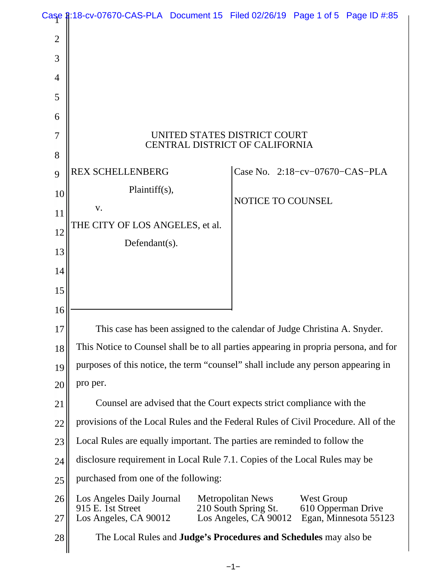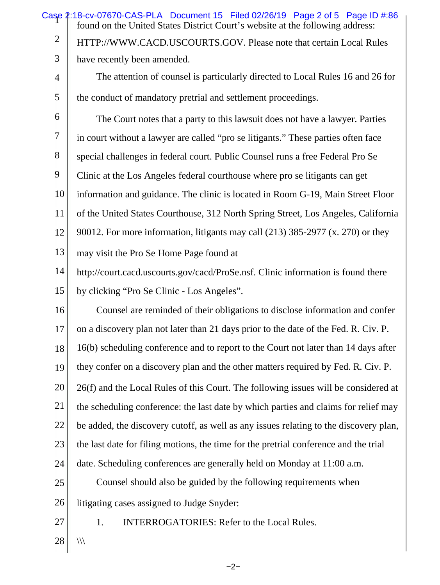|                | Case 2:18-cv-07670-CAS-PLA Document 15 Filed 02/26/19 Page 2 of 5 Page ID #:86<br>found on the United States District Court's website at the following address: |
|----------------|-----------------------------------------------------------------------------------------------------------------------------------------------------------------|
| $\overline{2}$ | HTTP://WWW.CACD.USCOURTS.GOV. Please note that certain Local Rules                                                                                              |
| 3              | have recently been amended.                                                                                                                                     |
| 4              | The attention of counsel is particularly directed to Local Rules 16 and 26 for                                                                                  |
| 5              | the conduct of mandatory pretrial and settlement proceedings.                                                                                                   |
| 6              | The Court notes that a party to this lawsuit does not have a lawyer. Parties                                                                                    |
| 7              | in court without a lawyer are called "pro se litigants." These parties often face                                                                               |
| 8              | special challenges in federal court. Public Counsel runs a free Federal Pro Se                                                                                  |
| 9              | Clinic at the Los Angeles federal courthouse where pro se litigants can get                                                                                     |
| 10             | information and guidance. The clinic is located in Room G-19, Main Street Floor                                                                                 |
| 11             | of the United States Courthouse, 312 North Spring Street, Los Angeles, California                                                                               |
| 12             | 90012. For more information, litigants may call (213) 385-2977 (x. 270) or they                                                                                 |
| 13             | may visit the Pro Se Home Page found at                                                                                                                         |
| 14             | http://court.cacd.uscourts.gov/cacd/ProSe.nsf. Clinic information is found there                                                                                |
| 15             | by clicking "Pro Se Clinic - Los Angeles".                                                                                                                      |
| 16             | Counsel are reminded of their obligations to disclose information and confer                                                                                    |
| 17             | on a discovery plan not later than 21 days prior to the date of the Fed. R. Civ. P.                                                                             |
| 18             | 16(b) scheduling conference and to report to the Court not later than 14 days after                                                                             |
| 19             | they confer on a discovery plan and the other matters required by Fed. R. Civ. P.                                                                               |
| 20             | 26(f) and the Local Rules of this Court. The following issues will be considered at                                                                             |
| 21             | the scheduling conference: the last date by which parties and claims for relief may                                                                             |
| 22             | be added, the discovery cutoff, as well as any issues relating to the discovery plan,                                                                           |
| 23             | the last date for filing motions, the time for the pretrial conference and the trial                                                                            |
| 24             | date. Scheduling conferences are generally held on Monday at 11:00 a.m.                                                                                         |
| 25             | Counsel should also be guided by the following requirements when                                                                                                |
| 26             | litigating cases assigned to Judge Snyder:                                                                                                                      |
| $27\,$         | 1.<br><b>INTERROGATORIES: Refer to the Local Rules.</b>                                                                                                         |
| 28             | ///                                                                                                                                                             |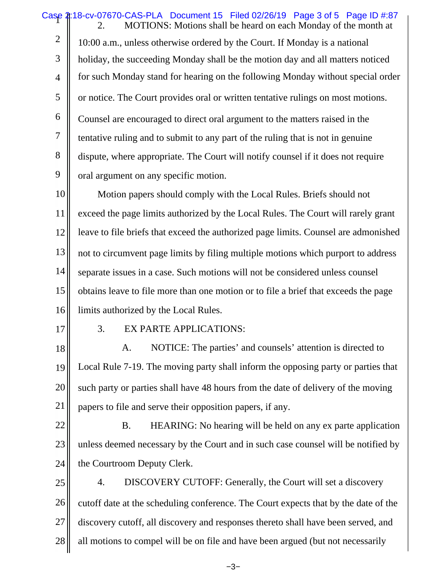Case 4:18-cv-07670-CAS-PLA Document 15 Filed 02/26/19 Page 3 of 5 Page ID #:87 2 3 4 5 6 7 8 9 10 11 12 13 14 15 16 17 18 19 20 21 22 23 24 25 26 27 28 MOTIONS: Motions shall be heard on each Monday of the month at 10:00 a.m., unless otherwise ordered by the Court. If Monday is a national holiday, the succeeding Monday shall be the motion day and all matters noticed for such Monday stand for hearing on the following Monday without special order or notice. The Court provides oral or written tentative rulings on most motions. Counsel are encouraged to direct oral argument to the matters raised in the tentative ruling and to submit to any part of the ruling that is not in genuine dispute, where appropriate. The Court will notify counsel if it does not require oral argument on any specific motion. Motion papers should comply with the Local Rules. Briefs should not exceed the page limits authorized by the Local Rules. The Court will rarely grant leave to file briefs that exceed the authorized page limits. Counsel are admonished not to circumvent page limits by filing multiple motions which purport to address separate issues in a case. Such motions will not be considered unless counsel obtains leave to file more than one motion or to file a brief that exceeds the page limits authorized by the Local Rules. 3. EX PARTE APPLICATIONS: A. NOTICE: The parties' and counsels' attention is directed to Local Rule 7-19. The moving party shall inform the opposing party or parties that such party or parties shall have 48 hours from the date of delivery of the moving papers to file and serve their opposition papers, if any. B. HEARING: No hearing will be held on any ex parte application unless deemed necessary by the Court and in such case counsel will be notified by the Courtroom Deputy Clerk. 4. DISCOVERY CUTOFF: Generally, the Court will set a discovery cutoff date at the scheduling conference. The Court expects that by the date of the discovery cutoff, all discovery and responses thereto shall have been served, and all motions to compel will be on file and have been argued (but not necessarily

−3−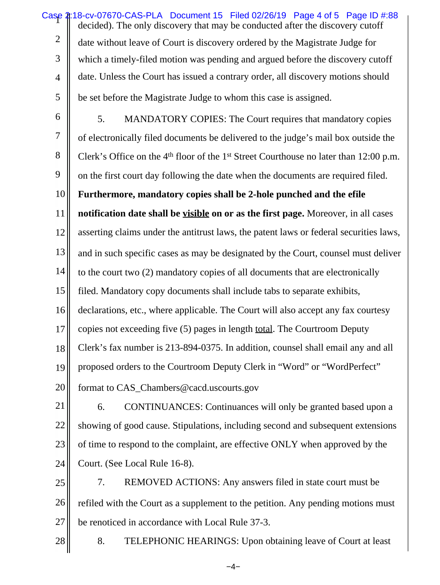Case 4:18-cv-07670-CAS-PLA Document 15 Filed 02/26/19 Page 4 of 5 Page ID #:88 2 3 4 5 6 7 8 9 10 11 12 13 14 15 16 17 18 19 20 decided). The only discovery that may be conducted after the discovery cutoff date without leave of Court is discovery ordered by the Magistrate Judge for which a timely-filed motion was pending and argued before the discovery cutoff date. Unless the Court has issued a contrary order, all discovery motions should be set before the Magistrate Judge to whom this case is assigned. 5. MANDATORY COPIES: The Court requires that mandatory copies of electronically filed documents be delivered to the judge's mail box outside the Clerk's Office on the 4<sup>th</sup> floor of the 1<sup>st</sup> Street Courthouse no later than 12:00 p.m. on the first court day following the date when the documents are required filed. **Furthermore, mandatory copies shall be 2-hole punched and the efile notification date shall be visible on or as the first page.** Moreover, in all cases asserting claims under the antitrust laws, the patent laws or federal securities laws, and in such specific cases as may be designated by the Court, counsel must deliver to the court two (2) mandatory copies of all documents that are electronically filed. Mandatory copy documents shall include tabs to separate exhibits, declarations, etc., where applicable. The Court will also accept any fax courtesy copies not exceeding five (5) pages in length total. The Courtroom Deputy Clerk's fax number is 213-894-0375. In addition, counsel shall email any and all proposed orders to the Courtroom Deputy Clerk in "Word" or "WordPerfect" format to CAS\_Chambers@cacd.uscourts.gov

21 22 23 24 6. CONTINUANCES: Continuances will only be granted based upon a showing of good cause. Stipulations, including second and subsequent extensions of time to respond to the complaint, are effective ONLY when approved by the Court. (See Local Rule 16-8).

25 26 27 7. REMOVED ACTIONS: Any answers filed in state court must be refiled with the Court as a supplement to the petition. Any pending motions must be renoticed in accordance with Local Rule 37-3.

8. TELEPHONIC HEARINGS: Upon obtaining leave of Court at least

28

−4−